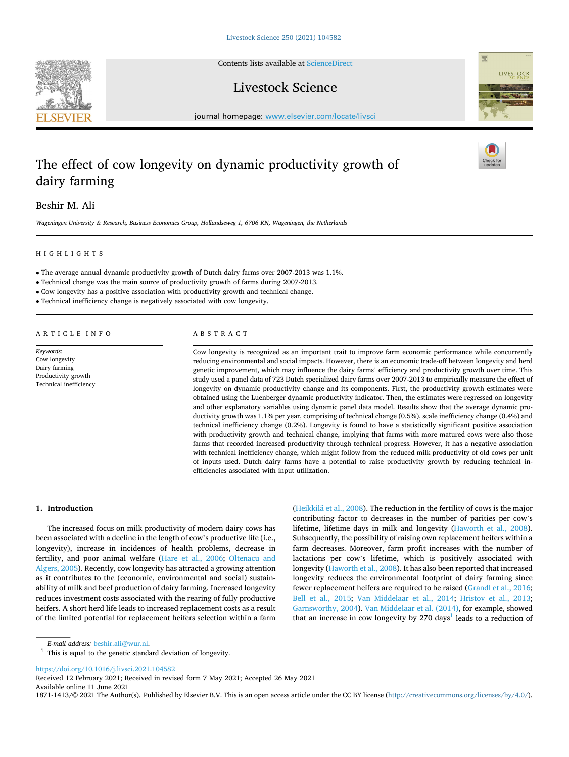Contents lists available at [ScienceDirect](www.sciencedirect.com/science/journal/18711413)

# Livestock Science

journal homepage: [www.elsevier.com/locate/livsci](https://www.elsevier.com/locate/livsci) 

# The effect of cow longevity on dynamic productivity growth of dairy farming

Beshir M. Ali

*Wageningen University & Research, Business Economics Group, Hollandseweg 1, 6706 KN, Wageningen, the Netherlands* 

# HIGHLIGHTS

• The average annual dynamic productivity growth of Dutch dairy farms over 2007-2013 was 1.1%.

• Technical change was the main source of productivity growth of farms during 2007-2013.

• Cow longevity has a positive association with productivity growth and technical change.

• Technical inefficiency change is negatively associated with cow longevity.

# ARTICLE INFO

*Keywords:*  Cow longevity Dairy farming Productivity growth Technical inefficiency

# ABSTRACT

Cow longevity is recognized as an important trait to improve farm economic performance while concurrently reducing environmental and social impacts. However, there is an economic trade-off between longevity and herd genetic improvement, which may influence the dairy farms' efficiency and productivity growth over time. This study used a panel data of 723 Dutch specialized dairy farms over 2007-2013 to empirically measure the effect of longevity on dynamic productivity change and its components. First, the productivity growth estimates were obtained using the Luenberger dynamic productivity indicator. Then, the estimates were regressed on longevity and other explanatory variables using dynamic panel data model. Results show that the average dynamic productivity growth was 1.1% per year, comprising of technical change (0.5%), scale inefficiency change (0.4%) and technical inefficiency change (0.2%). Longevity is found to have a statistically significant positive association with productivity growth and technical change, implying that farms with more matured cows were also those farms that recorded increased productivity through technical progress. However, it has a negative association with technical inefficiency change, which might follow from the reduced milk productivity of old cows per unit of inputs used. Dutch dairy farms have a potential to raise productivity growth by reducing technical inefficiencies associated with input utilization.

## **1. Introduction**

The increased focus on milk productivity of modern dairy cows has been associated with a decline in the length of cow's productive life (i.e., longevity), increase in incidences of health problems, decrease in fertility, and poor animal welfare [\(Hare et al., 2006;](#page-8-0) [Oltenacu and](#page-8-0)  [Algers, 2005\)](#page-8-0). Recently, cow longevity has attracted a growing attention as it contributes to the (economic, environmental and social) sustainability of milk and beef production of dairy farming. Increased longevity reduces investment costs associated with the rearing of fully productive heifers. A short herd life leads to increased replacement costs as a result of the limited potential for replacement heifers selection within a farm

(Heikkilä et al., 2008). The reduction in the fertility of cows is the major contributing factor to decreases in the number of parities per cow's lifetime, lifetime days in milk and longevity [\(Haworth et al., 2008](#page-8-0)). Subsequently, the possibility of raising own replacement heifers within a farm decreases. Moreover, farm profit increases with the number of lactations per cow's lifetime, which is positively associated with longevity [\(Haworth et al., 2008\)](#page-8-0). It has also been reported that increased longevity reduces the environmental footprint of dairy farming since fewer replacement heifers are required to be raised ([Grandl et al., 2016](#page-8-0); [Bell et al., 2015;](#page-8-0) [Van Middelaar et al., 2014;](#page-8-0) [Hristov et al., 2013](#page-8-0); [Garnsworthy, 2004\)](#page-8-0). [Van Middelaar et al. \(2014\)](#page-8-0), for example, showed that an increase in cow longevity by 270 days<sup>1</sup> leads to a reduction of

<https://doi.org/10.1016/j.livsci.2021.104582>

Available online 11 June 2021 Received 12 February 2021; Received in revised form 7 May 2021; Accepted 26 May 2021

1871-1413/© 2021 The Author(s). Published by Elsevier B.V. This is an open access article under the CC BY license [\(http://creativecommons.org/licenses/by/4.0/\)](http://creativecommons.org/licenses/by/4.0/).





 $E\text{-}mail$  address:  $\mathrm{beshir}, \mathrm{ali@wur}.nl.$  This is equal to the genetic standard deviation of longevity.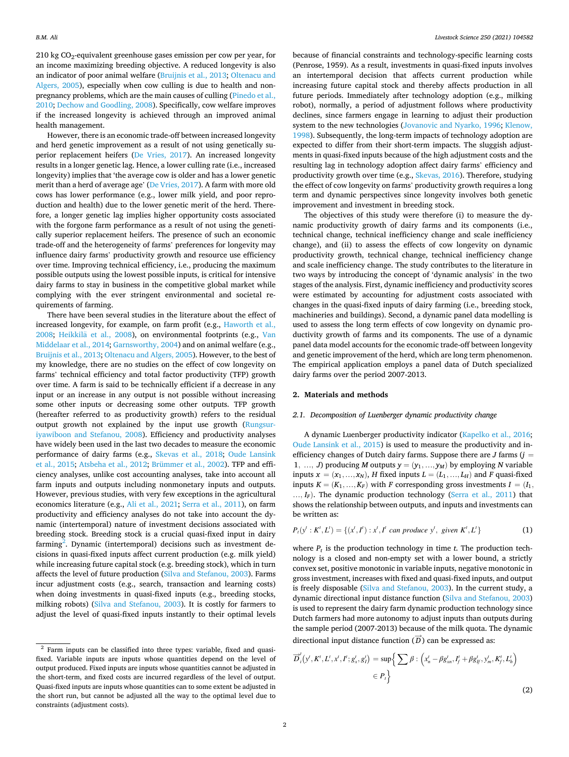$210 \text{ kg CO}_2$ -equivalent greenhouse gases emission per cow per year, for an income maximizing breeding objective. A reduced longevity is also an indicator of poor animal welfare ([Bruijnis et al., 2013](#page-8-0); [Oltenacu and](#page-8-0)  [Algers, 2005](#page-8-0)), especially when cow culling is due to health and nonpregnancy problems, which are the main causes of culling [\(Pinedo et al.,](#page-8-0)  [2010; Dechow and Goodling, 2008\)](#page-8-0). Specifically, cow welfare improves if the increased longevity is achieved through an improved animal health management.

However, there is an economic trade-off between increased longevity and herd genetic improvement as a result of not using genetically superior replacement heifers ([De Vries, 2017\)](#page-8-0). An increased longevity results in a longer genetic lag. Hence, a lower culling rate (i.e., increased longevity) implies that 'the average cow is older and has a lower genetic merit than a herd of average age' ([De Vries, 2017\)](#page-8-0). A farm with more old cows has lower performance (e.g., lower milk yield, and poor reproduction and health) due to the lower genetic merit of the herd. Therefore, a longer genetic lag implies higher opportunity costs associated with the forgone farm performance as a result of not using the genetically superior replacement heifers. The presence of such an economic trade-off and the heterogeneity of farms' preferences for longevity may influence dairy farms' productivity growth and resource use efficiency over time. Improving technical efficiency, i.e., producing the maximum possible outputs using the lowest possible inputs, is critical for intensive dairy farms to stay in business in the competitive global market while complying with the ever stringent environmental and societal requirements of farming.

There have been several studies in the literature about the effect of increased longevity, for example, on farm profit (e.g., [Haworth et al.,](#page-8-0)  [2008;](#page-8-0) Heikkilä [et al., 2008](#page-8-0)), on environmental footprints (e.g., Van [Middelaar et al., 2014; Garnsworthy, 2004](#page-8-0)) and on animal welfare (e.g., [Bruijnis et al., 2013; Oltenacu and Algers, 2005\)](#page-8-0). However, to the best of my knowledge, there are no studies on the effect of cow longevity on farms' technical efficiency and total factor productivity (TFP) growth over time. A farm is said to be technically efficient if a decrease in any input or an increase in any output is not possible without increasing some other inputs or decreasing some other outputs. TFP growth (hereafter referred to as productivity growth) refers to the residual output growth not explained by the input use growth ([Rungsur](#page-8-0)[iyawiboon and Stefanou, 2008](#page-8-0)). Efficiency and productivity analyses have widely been used in the last two decades to measure the economic performance of dairy farms (e.g., [Skevas et al., 2018](#page-8-0); [Oude Lansink](#page-8-0)  [et al., 2015](#page-8-0); [Atsbeha et al., 2012](#page-8-0); [Brümmer et al., 2002](#page-8-0)). TFP and efficiency analyses, unlike cost accounting analyses, take into account all farm inputs and outputs including nonmonetary inputs and outputs. However, previous studies, with very few exceptions in the agricultural economics literature (e.g., [Ali et al., 2021](#page-8-0); [Serra et al., 2011\)](#page-8-0), on farm productivity and efficiency analyses do not take into account the dynamic (intertemporal) nature of investment decisions associated with breeding stock. Breeding stock is a crucial quasi-fixed input in dairy farming<sup>2</sup>. Dynamic (intertemporal) decisions such as investment decisions in quasi-fixed inputs affect current production (e.g. milk yield) while increasing future capital stock (e.g. breeding stock), which in turn affects the level of future production ([Silva and Stefanou, 2003\)](#page-8-0). Farms incur adjustment costs (e.g., search, transaction and learning costs) when doing investments in quasi-fixed inputs (e.g., breeding stocks, milking robots) ([Silva and Stefanou, 2003](#page-8-0)). It is costly for farmers to adjust the level of quasi-fixed inputs instantly to their optimal levels

because of financial constraints and technology-specific learning costs (Penrose, 1959). As a result, investments in quasi-fixed inputs involves an intertemporal decision that affects current production while increasing future capital stock and thereby affects production in all future periods. Immediately after technology adoption (e.g., milking robot), normally, a period of adjustment follows where productivity declines, since farmers engage in learning to adjust their production system to the new technologies ([Jovanovic and Nyarko, 1996](#page-8-0); [Klenow,](#page-8-0)  [1998\)](#page-8-0). Subsequently, the long-term impacts of technology adoption are expected to differ from their short-term impacts. The sluggish adjustments in quasi-fixed inputs because of the high adjustment costs and the resulting lag in technology adoption affect dairy farms' efficiency and productivity growth over time (e.g., [Skevas, 2016](#page-8-0)). Therefore, studying the effect of cow longevity on farms' productivity growth requires a long term and dynamic perspectives since longevity involves both genetic improvement and investment in breeding stock.

The objectives of this study were therefore (i) to measure the dynamic productivity growth of dairy farms and its components (i.e., technical change, technical inefficiency change and scale inefficiency change), and (ii) to assess the effects of cow longevity on dynamic productivity growth, technical change, technical inefficiency change and scale inefficiency change. The study contributes to the literature in two ways by introducing the concept of 'dynamic analysis' in the two stages of the analysis. First, dynamic inefficiency and productivity scores were estimated by accounting for adjustment costs associated with changes in the quasi-fixed inputs of dairy farming (i.e., breeding stock, machineries and buildings). Second, a dynamic panel data modelling is used to assess the long term effects of cow longevity on dynamic productivity growth of farms and its components. The use of a dynamic panel data model accounts for the economic trade-off between longevity and genetic improvement of the herd, which are long term phenomenon. The empirical application employs a panel data of Dutch specialized dairy farms over the period 2007-2013.

## **2. Materials and methods**

## *2.1. Decomposition of Luenberger dynamic productivity change*

A dynamic Luenberger productivity indicator [\(Kapelko et al., 2016](#page-8-0); [Oude Lansink et al., 2015](#page-8-0)) is used to measure the productivity and inefficiency changes of Dutch dairy farms. Suppose there are  $J$  farms ( $j =$ 1, ..., *J*) producing *M* outputs  $y = (y_1, ..., y_M)$  by employing *N* variable inputs  $x = (x_1, ..., x_N)$ , *H* fixed inputs  $L = (L_1, ..., L_H)$  and *F* quasi-fixed inputs  $K = (K_1, \ldots, K_F)$  with *F* corresponding gross investments  $I = (I_1, \ldots, I_K)$ …*, IF*). The dynamic production technology [\(Serra et al., 2011\)](#page-8-0) that shows the relationship between outputs, and inputs and investments can be written as:

$$
P_t(y^t : K^t, L^t) = \{(x^t, I^t) : x^t, I^t \text{ can produce } y^t, \text{ given } K^t, L^t\}
$$
 (1)

where  $P_t$  is the production technology in time  $t$ . The production technology is a closed and non-empty set with a lower bound, a strictly convex set, positive monotonic in variable inputs, negative monotonic in gross investment, increases with fixed and quasi-fixed inputs, and output is freely disposable [\(Silva and Stefanou, 2003\)](#page-8-0). In the current study, a dynamic directional input distance function [\(Silva and Stefanou, 2003\)](#page-8-0) is used to represent the dairy farm dynamic production technology since Dutch farmers had more autonomy to adjust inputs than outputs during the sample period (2007-2013) because of the milk quota. The dynamic directional input distance function  $(\overrightarrow{D})$  can be expressed as:

$$
\overrightarrow{D}_{i}^{t}(y^{t}, K^{t}, L^{t}, x^{t}, I^{t}; g_{x}^{t}, g_{I}^{t}) = \sup \Big\{ \sum \beta : \Big(x_{n}^{t} - \beta g_{xn}^{t}, I_{f}^{t} + \beta g_{If}^{t}, y_{m}^{t}, K_{f}^{t}, L_{h}^{t}\Big) \newline \in P_{t} \Big\}
$$
\n(2)

 $2$  Farm inputs can be classified into three types: variable, fixed and quasifixed. Variable inputs are inputs whose quantities depend on the level of output produced. Fixed inputs are inputs whose quantities cannot be adjusted in the short-term, and fixed costs are incurred regardless of the level of output. Quasi-fixed inputs are inputs whose quantities can to some extent be adjusted in the short run, but cannot be adjusted all the way to the optimal level due to constraints (adjustment costs).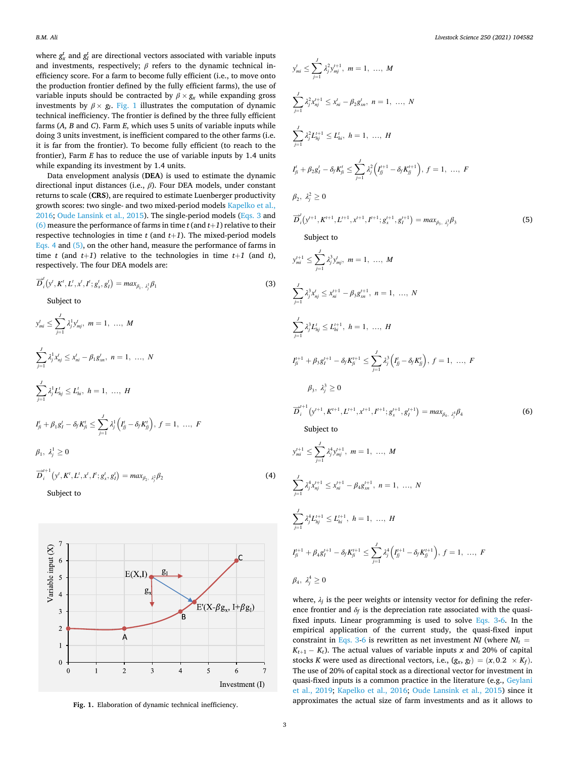<span id="page-2-0"></span>where  $g_x^t$  and  $g_t^t$  are directional vectors associated with variable inputs and investments, respectively;  $\beta$  refers to the dynamic technical inefficiency score. For a farm to become fully efficient (i.e., to move onto the production frontier defined by the fully efficient farms), the use of variable inputs should be contracted by  $\beta \times g_x$  while expanding gross investments by  $\beta \times g_I$ . Fig. 1 illustrates the computation of dynamic technical inefficiency. The frontier is defined by the three fully efficient farms (*A, B* and *C*). Farm *E*, which uses 5 units of variable inputs while doing 3 units investment, is inefficient compared to the other farms (i.e. it is far from the frontier). To become fully efficient (to reach to the frontier), Farm *E* has to reduce the use of variable inputs by 1.4 units while expanding its investment by 1.4 units.

Data envelopment analysis (**DEA**) is used to estimate the dynamic directional input distances (i.e., *β*). Four DEA models, under constant returns to scale (**CRS**), are required to estimate Luenberger productivity growth scores: two single- and two mixed-period models [Kapelko et al.,](#page-8-0)  [2016; Oude Lansink et al., 2015\)](#page-8-0). The single-period models (Eqs. 3 and (6) measure the performance of farms in time  $t$  (and  $t+1$ ) relative to their respective technologies in time  $t$  (and  $t+1$ ). The mixed-period models Eqs. 4 and (5), on the other hand, measure the performance of farms in time  $t$  (and  $t+1$ ) relative to the technologies in time  $t+1$  (and  $t$ ), respectively. The four DEA models are:

$$
\overrightarrow{D}_{i}^{t}(y', K', L', x', I'; g'_{x}, g'_{I}) = max_{\beta_{1}, \lambda_{i}^{1}} \beta_{1}
$$
\n(3)

Subject to

→*<sup>t</sup>*

$$
y'_{mi} \leq \sum_{j=1}^{J} \lambda_j^1 y'_{mj}, \ m = 1, \ \dots, \ M
$$
  

$$
\sum_{j=1}^{J} \lambda_j^1 x'_{nj} \leq x'_{ni} - \beta_1 g'_{xn}, \ n = 1, \ \dots, \ N
$$
  

$$
\sum_{j=1}^{J} \lambda_j^1 L'_{nj} \leq L'_{hi}, \ h = 1, \ \dots, \ H
$$
  

$$
I'_{ji} + \beta_1 g'_i - \delta_j K'_{ji} \leq \sum_{j=1}^{J} \lambda_j^1 (I'_{jj} - \delta_j K'_{jj}), \ f = 1, \ \dots, \ F
$$
  

$$
\beta_1, \ \lambda_j^1 \geq 0
$$

$$
\overrightarrow{D}_{i}^{i+1}\left(y', K', L', x', I'; g'_{x}, g'_{I}\right) = max_{\beta_{2}, \beta_{2}^{2}} \beta_{2}
$$
\n(4)

Subject to



$$
y'_{mi} \leq \sum_{j=1}^{J} \lambda_{j}^{2} y_{mj}^{i+1}, \ m = 1, \ldots, M
$$
\n
$$
\sum_{j=1}^{J} \lambda_{j}^{2} x_{mj}^{i+1} \leq x'_{ni} - \beta_{2} g'_{sn}, \ n = 1, \ldots, N
$$
\n
$$
\sum_{j=1}^{J} \lambda_{j}^{2} L_{ij}^{i+1} \leq L_{hi}^{i}, \ h = 1, \ldots, H
$$
\n
$$
I_{n}^{*} + \beta_{2} g'_{j} - \delta_{j} K_{ji}^{*} \leq \sum_{j=1}^{J} \lambda_{j}^{2} \Big( I_{jj}^{i+1} - \delta_{j} K_{jj}^{i+1} \Big), \ f = 1, \ldots, F
$$
\n
$$
\beta_{2}, \ \lambda_{j}^{2} \geq 0
$$
\n
$$
\overrightarrow{D}_{i}^{'} \Big( y^{i+1}, K^{i+1}, L^{i+1}, x^{i+1}, I^{i+1}; g_{s}^{i+1}, g_{s}^{i+1} \Big) = max_{\beta_{3}, \ \lambda_{j}^{2}} \beta_{3}
$$
\n(5)\n
$$
\text{Subject to}
$$
\n
$$
y'^{+1}_{mi} \leq \sum_{j=1}^{J} \lambda_{j}^{3} x'_{mj}, \ m = 1, \ldots, M
$$
\n
$$
\sum_{j=1}^{J} \lambda_{j}^{2} x'_{mj} \leq L_{ni}^{i+1}, \ h = 1, \ldots, H
$$
\n
$$
I_{p=1}^{*} \lambda_{j}^{2} L_{ij}^{*} \leq L_{ni}^{i+1}, \ h = 1, \ldots, H
$$
\n
$$
\beta_{3}, \ \lambda_{j}^{3} \geq 0
$$
\n
$$
\overrightarrow{D}_{i}^{i+1} \Big( y'^{i+1}, K^{i+1}, L^{i+1}, x^{i+1}, I^{i+1}; g_{s}^{i+1}, g_{s}^{i+1} \Big) = max_{\beta_{4}, \ \lambda_{j}^{4}} \beta_{4}
$$
\n(6)\n
$$
\sum_{j=1}^{J} \lambda_{j}^{4} x'_{mj} \leq L_{ni}^{i+1}, \ m = 1,
$$

$$
\beta_4, \lambda_j^4 \geq 0
$$

where,  $\lambda_j$  is the peer weights or intensity vector for defining the reference frontier and  $\delta_f$  is the depreciation rate associated with the quasifixed inputs. Linear programming is used to solve Eqs. 3-6. In the empirical application of the current study, the quasi-fixed input constraint in Eqs. 3-6 is rewritten as net investment *NI* (where  $NI_t$  =  $K_{t+1} - K_t$ ). The actual values of variable inputs *x* and 20% of capital stocks *K* were used as directional vectors, i.e.,  $(g_x, g_I) = (x, 0.2 \times K_f)$ . The use of 20% of capital stock as a directional vector for investment in quasi-fixed inputs is a common practice in the literature (e.g., [Geylani](#page-8-0)  [et al., 2019](#page-8-0); [Kapelko et al., 2016;](#page-8-0) [Oude Lansink et al., 2015\)](#page-8-0) since it approximates the actual size of farm investments and as it allows to **Fig. 1.** Elaboration of dynamic technical inefficiency.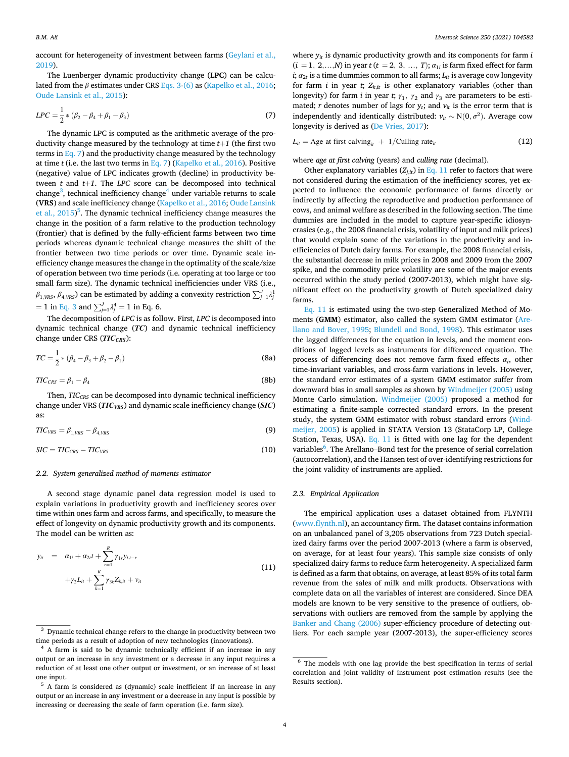<span id="page-3-0"></span>account for heterogeneity of investment between farms [\(Geylani et al.,](#page-8-0)  [2019\)](#page-8-0).

The Luenberger dynamic productivity change (**LPC**) can be calculated from the *β* estimates under CRS [Eqs. 3-\(6\)](#page-2-0) as ([Kapelko et al., 2016](#page-8-0); [Oude Lansink et al., 2015\)](#page-8-0):

$$
LPC = \frac{1}{2} * (\beta_2 - \beta_4 + \beta_1 - \beta_3)
$$
\n(7)

The dynamic LPC is computed as the arithmetic average of the productivity change measured by the technology at time  $t+1$  (the first two terms in Eq. 7) and the productivity change measured by the technology at time *t* (i.e. the last two terms in Eq. 7) ([Kapelko et al., 2016\)](#page-8-0). Positive (negative) value of LPC indicates growth (decline) in productivity between  $t$  and  $t+1$ . The *LPC* score can be decomposed into technical change<sup>3</sup>, technical inefficiency change<sup>4</sup> under variable returns to scale (**VRS**) and scale inefficiency change [\(Kapelko et al., 2016; Oude Lansink](#page-8-0)  [et al., 2015\)](#page-8-0)<sup>5</sup>. The dynamic technical inefficiency change measures the change in the position of a farm relative to the production technology (frontier) that is defined by the fully-efficient farms between two time periods whereas dynamic technical change measures the shift of the frontier between two time periods or over time. Dynamic scale inefficiency change measures the change in the optimality of the scale/size of operation between two time periods (i.e. operating at too large or too small farm size). The dynamic technical inefficiencies under VRS (i.e., *β*<sub>1,*VRS</sub>*, *β*<sub>4,*VRS*</sub>) can be estimated by adding a convexity restriction  $\sum_{j=1}^{J} \lambda_j^1$ </sub>  $= 1$  in [Eq. 3](#page-2-0) and  $\sum_{j=1}^{J} \lambda_j^4 = 1$  in Eq. 6.

The decomposition of *LPC* is as follow. First, *LPC* is decomposed into dynamic technical change (*TC*) and dynamic technical inefficiency change under CRS (*TIC<sub>CRS</sub>*):

$$
TC = \frac{1}{2} * (\beta_4 - \beta_3 + \beta_2 - \beta_1)
$$
 (8a)

$$
TIC_{CRS} = \beta_1 - \beta_4 \tag{8b}
$$

Then, *TIC<sub>CRS</sub>* can be decomposed into dynamic technical inefficiency change under VRS (*TIC<sub>VRS</sub>*) and dynamic scale inefficiency change (*SIC*) as:

$$
TIC_{VRS} = \beta_{1,VRS} - \beta_{4,VRS} \tag{9}
$$

$$
SIC = TIC_{CRS} - TIC_{VRS}
$$
\n(10)

## *2.2. System generalized method of moments estimator*

A second stage dynamic panel data regression model is used to explain variations in productivity growth and inefficiency scores over time within ones farm and across farms, and specifically, to measure the effect of longevity on dynamic productivity growth and its components. The model can be written as:

$$
y_{ii} = \alpha_{1i} + \alpha_{2i}t + \sum_{r=1}^{R} \gamma_{1r} y_{i,t-r} + \gamma_{2} L_{ii} + \sum_{k=1}^{K} \gamma_{3k} Z_{k,ii} + v_{ii}
$$
\n(11)

where  $y_{it}$  is dynamic productivity growth and its components for farm *i*  $(i = 1, 2, \ldots, N)$  in year  $t (t = 2, 3, \ldots, T);$   $\alpha_{1i}$  is farm fixed effect for farm  $i$ ;  $a_{2t}$  is a time dummies common to all farms;  $L_{it}$  is average cow longevity for farm  $i$  in year  $t$ ;  $Z_{k,i}$  is other explanatory variables (other than longevity) for farm *i* in year *t*;  $\gamma_1$ ,  $\gamma_2$  and  $\gamma_3$  are parameters to be estimated; *r* denotes number of lags for  $y_t$ ; and  $v_{it}$  is the error term that is independently and identically distributed: *vit* ∼ N(0*, σ*<sup>2</sup>). Average cow longevity is derived as [\(De Vries, 2017\)](#page-8-0):

$$
L_{it} = \text{Age at first calving}_{it} + 1/\text{Culling rate}_{it}
$$
 (12)

where *age at first calving* (years) and *culling rate* (decimal).

Other explanatory variables  $(Z_{j,i}$ ) in Eq. 11 refer to factors that were not considered during the estimation of the inefficiency scores, yet expected to influence the economic performance of farms directly or indirectly by affecting the reproductive and production performance of cows, and animal welfare as described in the following section. The time dummies are included in the model to capture year-specific idiosyncrasies (e.g., the 2008 financial crisis, volatility of input and milk prices) that would explain some of the variations in the productivity and inefficiencies of Dutch dairy farms. For example, the 2008 financial crisis, the substantial decrease in milk prices in 2008 and 2009 from the 2007 spike, and the commodity price volatility are some of the major events occurred within the study period (2007-2013), which might have significant effect on the productivity growth of Dutch specialized dairy farms.

Eq. 11 is estimated using the two-step Generalized Method of Moments (**GMM**) estimator, also called the system GMM estimator ([Are](#page-8-0)[llano and Bover, 1995](#page-8-0); [Blundell and Bond, 1998\)](#page-8-0). This estimator uses the lagged differences for the equation in levels, and the moment conditions of lagged levels as instruments for differenced equation. The process of differencing does not remove farm fixed effects *αi*, other time-invariant variables, and cross-farm variations in levels. However, the standard error estimates of a system GMM estimator suffer from downward bias in small samples as shown by [Windmeijer \(2005\)](#page-9-0) using Monte Carlo simulation. [Windmeijer \(2005\)](#page-9-0) proposed a method for estimating a finite-sample corrected standard errors. In the present study, the system GMM estimator with robust standard errors [\(Wind](#page-9-0)[meijer, 2005](#page-9-0)) is applied in STATA Version 13 (StataCorp LP, College Station, Texas, USA). Eq. 11 is fitted with one lag for the dependent variables<sup>6</sup>. The Arellano–Bond test for the presence of serial correlation (autocorrelation), and the Hansen test of over-identifying restrictions for the joint validity of instruments are applied.

## *2.3. Empirical Application*

The empirical application uses a dataset obtained from FLYNTH ([www.flynth.nl\)](http://www.flynth.nl), an accountancy firm. The dataset contains information on an unbalanced panel of 3,205 observations from 723 Dutch specialized dairy farms over the period 2007-2013 (where a farm is observed, on average, for at least four years). This sample size consists of only specialized dairy farms to reduce farm heterogeneity. A specialized farm is defined as a farm that obtains, on average, at least 85% of its total farm revenue from the sales of milk and milk products. Observations with complete data on all the variables of interest are considered. Since DEA models are known to be very sensitive to the presence of outliers, observations with outliers are removed from the sample by applying the [Banker and Chang \(2006\)](#page-8-0) super-efficiency procedure of detecting out-

<sup>&</sup>lt;sup>3</sup> Dynamic technical change refers to the change in productivity between two<br>time periods as a result of adoption of new technologies (innovations).

 $4$  A farm is said to be dynamic technically efficient if an increase in any output or an increase in any investment or a decrease in any input requires a reduction of at least one other output or investment, or an increase of at least one input.<br> $\frac{5}{10}$  A farm is considered as (dynamic) scale inefficient if an increase in any

output or an increase in any investment or a decrease in any input is possible by increasing or decreasing the scale of farm operation (i.e. farm size).

<sup>&</sup>lt;sup>6</sup> The models with one lag provide the best specification in terms of serial correlation and joint validity of instrument post estimation results (see the Results section).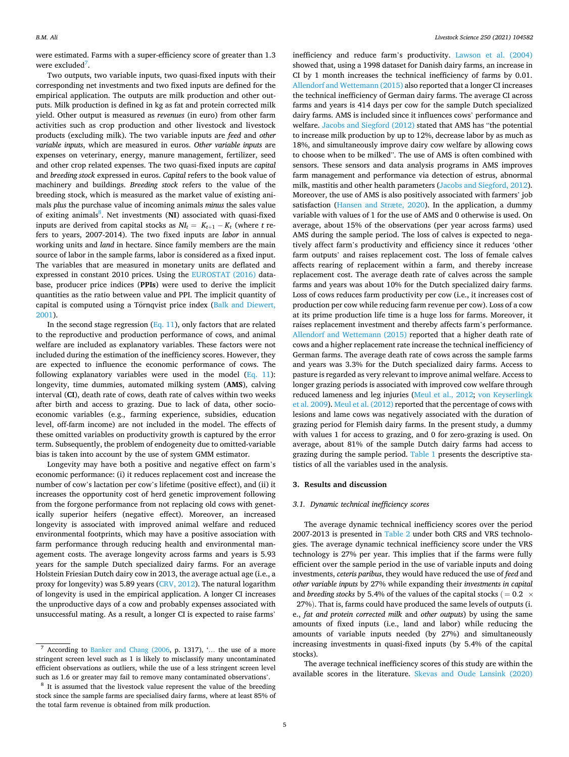were estimated. Farms with a super-efficiency score of greater than 1.3 were excluded<sup>7</sup>.

Two outputs, two variable inputs, two quasi-fixed inputs with their corresponding net investments and two fixed inputs are defined for the empirical application. The outputs are milk production and other outputs. Milk production is defined in kg as fat and protein corrected milk yield. Other output is measured as *revenues* (in euro) from other farm activities such as crop production and other livestock and livestock products (excluding milk). The two variable inputs are *feed* and *other variable inputs*, which are measured in euros. *Other variable inputs* are expenses on veterinary, energy, manure management, fertilizer, seed and other crop related expenses. The two quasi-fixed inputs are *capital*  and *breeding stock* expressed in euros. *Capital* refers to the book value of machinery and buildings. *Breeding stock* refers to the value of the breeding stock, which is measured as the market value of existing animals *plus* the purchase value of incoming animals *minus* the sales value of exiting animals<sup>8</sup>. Net investments (NI) associated with quasi-fixed inputs are derived from capital stocks as  $NI_t = K_{t+1} - K_t$  (where *t* refers to years, 2007-2014). The two fixed inputs are *labor* in annual working units and *land* in hectare. Since family members are the main source of labor in the sample farms, labor is considered as a fixed input. The variables that are measured in monetary units are deflated and expressed in constant 2010 prices. Using the [EUROSTAT \(2016\)](#page-8-0) database, producer price indices (**PPIs**) were used to derive the implicit quantities as the ratio between value and PPI. The implicit quantity of capital is computed using a Törnqvist price index (Balk and Diewert, [2001\)](#page-8-0).

In the second stage regression  $(Eq. 11)$  $(Eq. 11)$ , only factors that are related to the reproductive and production performance of cows, and animal welfare are included as explanatory variables. These factors were not included during the estimation of the inefficiency scores. However, they are expected to influence the economic performance of cows. The following explanatory variables were used in the model  $(Eq. 11)$  $(Eq. 11)$  $(Eq. 11)$ : longevity, time dummies, automated milking system (**AMS**), calving interval (**CI**), death rate of cows, death rate of calves within two weeks after birth and access to grazing. Due to lack of data, other socioeconomic variables (e.g., farming experience, subsidies, education level, off-farm income) are not included in the model. The effects of these omitted variables on productivity growth is captured by the error term. Subsequently, the problem of endogeneity due to omitted-variable bias is taken into account by the use of system GMM estimator.

Longevity may have both a positive and negative effect on farm's economic performance: (i) it reduces replacement cost and increase the number of cow's lactation per cow's lifetime (positive effect), and (ii) it increases the opportunity cost of herd genetic improvement following from the forgone performance from not replacing old cows with genetically superior heifers (negative effect). Moreover, an increased longevity is associated with improved animal welfare and reduced environmental footprints, which may have a positive association with farm performance through reducing health and environmental management costs. The average longevity across farms and years is 5.93 years for the sample Dutch specialized dairy farms. For an average Holstein Friesian Dutch dairy cow in 2013, the average actual age (i.e., a proxy for longevity) was 5.89 years ([CRV, 2012](#page-8-0)). The natural logarithm of longevity is used in the empirical application. A longer CI increases the unproductive days of a cow and probably expenses associated with unsuccessful mating. As a result, a longer CI is expected to raise farms'

inefficiency and reduce farm's productivity. [Lawson et al. \(2004\)](#page-8-0)  showed that, using a 1998 dataset for Danish dairy farms, an increase in CI by 1 month increases the technical inefficiency of farms by 0.01. [Allendorf and Wettemann \(2015\)](#page-8-0) also reported that a longer CI increases the technical inefficiency of German dairy farms. The average CI across farms and years is 414 days per cow for the sample Dutch specialized dairy farms. AMS is included since it influences cows' performance and welfare. [Jacobs and Siegford \(2012\)](#page-8-0) stated that AMS has "the potential to increase milk production by up to 12%, decrease labor by as much as 18%, and simultaneously improve dairy cow welfare by allowing cows to choose when to be milked". The use of AMS is often combined with sensors. These sensors and data analysis programs in AMS improves farm management and performance via detection of estrus, abnormal milk, mastitis and other health parameters [\(Jacobs and Siegford, 2012](#page-8-0)). Moreover, the use of AMS is also positively associated with farmers' job satisfaction ([Hansen and Stræte, 2020\)](#page-8-0). In the application, a dummy variable with values of 1 for the use of AMS and 0 otherwise is used. On average, about 15% of the observations (per year across farms) used AMS during the sample period. The loss of calves is expected to negatively affect farm's productivity and efficiency since it reduces 'other farm outputs' and raises replacement cost. The loss of female calves affects rearing of replacement within a farm, and thereby increase replacement cost. The average death rate of calves across the sample farms and years was about 10% for the Dutch specialized dairy farms. Loss of cows reduces farm productivity per cow (i.e., it increases cost of production per cow while reducing farm revenue per cow). Loss of a cow at its prime production life time is a huge loss for farms. Moreover, it raises replacement investment and thereby affects farm's performance. [Allendorf and Wettemann \(2015\)](#page-8-0) reported that a higher death rate of cows and a higher replacement rate increase the technical inefficiency of German farms. The average death rate of cows across the sample farms and years was 3.3% for the Dutch specialized dairy farms. Access to pasture is regarded as very relevant to improve animal welfare. Access to longer grazing periods is associated with improved cow welfare through reduced lameness and leg injuries ([Meul et al., 2012;](#page-8-0) [von Keyserlingk](#page-9-0)  [et al. 2009](#page-9-0)). [Meul et al. \(2012\)](#page-8-0) reported that the percentage of cows with lesions and lame cows was negatively associated with the duration of grazing period for Flemish dairy farms. In the present study, a dummy with values 1 for access to grazing, and 0 for zero-grazing is used. On average, about 81% of the sample Dutch dairy farms had access to grazing during the sample period. [Table 1](#page-5-0) presents the descriptive statistics of all the variables used in the analysis.

# **3. Results and discussion**

## *3.1. Dynamic technical inefficiency scores*

The average dynamic technical inefficiency scores over the period 2007-2013 is presented in [Table 2](#page-5-0) under both CRS and VRS technologies. The average dynamic technical inefficiency score under the VRS technology is 27% per year. This implies that if the farms were fully efficient over the sample period in the use of variable inputs and doing investments, *ceteris paribus*, they would have reduced the use of *feed* and *other variable inputs* by 27% while expanding their *investments in capital*  and *breeding stocks* by 5.4% of the values of the capital stocks ( $= 0.2 \times$ 

27%). That is, farms could have produced the same levels of outputs (i. e., *fat and protein corrected milk* and *other outputs*) by using the same amounts of fixed inputs (i.e., land and labor) while reducing the amounts of variable inputs needed (by 27%) and simultaneously increasing investments in quasi-fixed inputs (by 5.4% of the capital stocks).

The average technical inefficiency scores of this study are within the available scores in the literature. [Skevas and Oude Lansink \(2020\)](#page-8-0) 

According to [Banker and Chang \(2006,](#page-8-0) p. 1317), '... the use of a more stringent screen level such as 1 is likely to misclassify many uncontaminated efficient observations as outliers, while the use of a less stringent screen level

such as 1.6 or greater may fail to remove many contaminated observations'.<br><sup>8</sup> It is assumed that the livestock value represent the value of the breeding stock since the sample farms are specialised dairy farms, where at least 85% of the total farm revenue is obtained from milk production.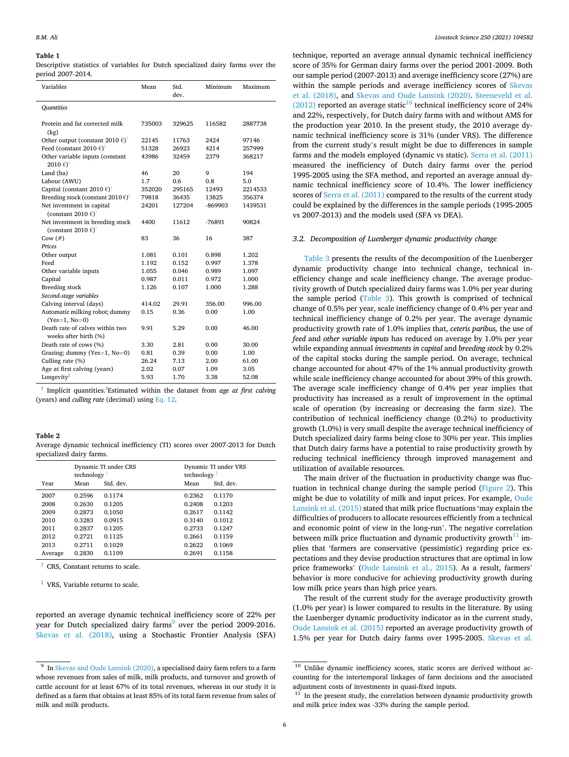#### <span id="page-5-0"></span>**Table 1**

Descriptive statistics of variables for Dutch specialized dairy farms over the period 2007-2014.

| Variables                                                                    | Mean   | Std.<br>dev. | Minimum   | Maximum |
|------------------------------------------------------------------------------|--------|--------------|-----------|---------|
| Quantities                                                                   |        |              |           |         |
| Protein and fat corrected milk<br>(kg)                                       | 735003 | 329625       | 116582    | 2887738 |
| Other output (constant 2010 $\epsilon$ ) <sup>†</sup>                        | 22145  | 11763        | 2424      | 97146   |
| Feed (constant 2010 $\epsilon$ ) <sup>†</sup>                                | 51328  | 26923        | 4214      | 257999  |
| Other variable inputs (constant<br>$2010 \text{ } \epsilon$ <sup>t</sup>     | 43986  | 32459        | 2379      | 368217  |
| Land (ha)                                                                    | 46     | 20           | 9         | 194     |
| Labour (AWU)                                                                 | 1.7    | 0.6          | 0.8       | 5.0     |
| Capital (constant 2010 $\epsilon$ ) <sup>†</sup>                             | 352020 | 295165       | 12493     | 2214533 |
| Breeding stock (constant 2010 $\epsilon$ ) <sup>†</sup>                      | 79818  | 36435        | 13825     | 356374  |
| Net investment in capital<br>(constant 2010 $\epsilon$ ) <sup>†</sup>        | 24201  | 127204       | $-869903$ | 1439531 |
| Net investment in breeding stock<br>(constant 2010 $\epsilon$ ) <sup>†</sup> | 4400   | 11612        | -76891    | 90824   |
| Cow $(\#)$                                                                   | 83     | 36           | 16        | 387     |
| Prices                                                                       |        |              |           |         |
| Other output                                                                 | 1.081  | 0.101        | 0.898     | 1.202   |
| Feed                                                                         | 1.192  | 0.152        | 0.997     | 1.378   |
| Other variable inputs                                                        | 1.055  | 0.046        | 0.989     | 1.097   |
| Capital                                                                      | 0.987  | 0.011        | 0.972     | 1.000   |
| Breeding stock                                                               | 1.126  | 0.107        | 1.000     | 1.288   |
| Second-stage variables                                                       |        |              |           |         |
| Calving interval (days)                                                      | 414.02 | 29.91        | 356.00    | 996.00  |
| Automatic milking robot; dummy<br>$(Yes=1, No=0)$                            | 0.15   | 0.36         | 0.00      | 1.00    |
| Death rate of calves within two<br>weeks after birth (%)                     | 9.91   | 5.29         | 0.00      | 46.00   |
| Death rate of cows (%)                                                       | 3.30   | 2.81         | 0.00      | 30.00   |
| Grazing; dummy (Yes=1, No=0)                                                 | 0.81   | 0.39         | 0.00      | 1.00    |
| Culling rate (%)                                                             | 26.24  | 7.13         | 2.00      | 61.00   |
| Age at first calving (years)                                                 | 2.02   | 0.07         | 1.09      | 3.05    |
| Longevity <sup>‡</sup>                                                       | 5.93   | 1.70         | 3.38      | 52.08   |

† Implicit quantities.‡ Estimated within the dataset from *age at first calving*  (years) and *culling rate* (decimal) using [Eq. 12](#page-3-0).

## **Table 2**

Average dynamic technical inefficiency (TI) scores over 2007-2013 for Dutch specialized dairy farms.

|         | Dynamic TI under CRS<br>technology <sup>1</sup> |           | Dynamic TI under VRS<br>technology $\frac{1}{x}$ |           |  |
|---------|-------------------------------------------------|-----------|--------------------------------------------------|-----------|--|
| Year    | Mean                                            | Std. dev. | Mean                                             | Std. dev. |  |
| 2007    | 0.2596                                          | 0.1174    | 0.2362                                           | 0.1170    |  |
| 2008    | 0.2630                                          | 0.1205    | 0.2408                                           | 0.1203    |  |
| 2009    | 0.2873                                          | 0.1050    | 0.2617                                           | 0.1142    |  |
| 2010    | 0.3283                                          | 0.0915    | 0.3140                                           | 0.1012    |  |
| 2011    | 0.2837                                          | 0.1205    | 0.2733                                           | 0.1247    |  |
| 2012    | 0.2721                                          | 0.1125    | 0.2661                                           | 0.1159    |  |
| 2013    | 0.2711                                          | 0.1029    | 0.2622                                           | 0.1069    |  |
| Average | 0.2830                                          | 0.1109    | 0.2691                                           | 0.1158    |  |

† CRS, Constant returns to scale.

‡ VRS, Variable returns to scale.

reported an average dynamic technical inefficiency score of 22% per year for Dutch specialized dairy farms<sup>9</sup> over the period 2009-2016. [Skevas et al. \(2018\)](#page-8-0), using a Stochastic Frontier Analysis (SFA)

technique, reported an average annual dynamic technical inefficiency score of 35% for German dairy farms over the period 2001-2009. Both our sample period (2007-2013) and average inefficiency score (27%) are within the sample periods and average inefficiency scores of [Skevas](#page-8-0)  [et al. \(2018\)](#page-8-0), and [Skevas and Oude Lansink \(2020\).](#page-8-0) [Steeneveld et al.](#page-8-0)   $(2012)$  reported an average static<sup>10</sup> technical inefficiency score of 24% and 22%, respectively, for Dutch dairy farms with and without AMS for the production year 2010. In the present study, the 2010 average dynamic technical inefficiency score is 31% (under VRS). The difference from the current study's result might be due to differences in sample farms and the models employed (dynamic vs static). [Serra et al. \(2011\)](#page-8-0)  measured the inefficiency of Dutch dairy farms over the period 1995-2005 using the SFA method, and reported an average annual dynamic technical inefficiency score of 10.4%. The lower inefficiency scores of [Serra et al. \(2011\)](#page-8-0) compared to the results of the current study could be explained by the differences in the sample periods (1995-2005 vs 2007-2013) and the models used (SFA vs DEA).

## *3.2. Decomposition of Luenberger dynamic productivity change*

[Table 3](#page-6-0) presents the results of the decomposition of the Luenberger dynamic productivity change into technical change, technical inefficiency change and scale inefficiency change. The average productivity growth of Dutch specialized dairy farms was 1.0% per year during the sample period [\(Table 3\)](#page-6-0). This growth is comprised of technical change of 0.5% per year, scale inefficiency change of 0.4% per year and technical inefficiency change of 0.2% per year. The average dynamic productivity growth rate of 1.0% implies that, *ceteris paribus,* the use of *feed* and *other variable inputs* has reduced on average by 1.0% per year while expanding annual *investments in capital* and *breeding stock* by 0.2% of the capital stocks during the sample period. On average, technical change accounted for about 47% of the 1% annual productivity growth while scale inefficiency change accounted for about 39% of this growth. The average scale inefficiency change of 0.4% per year implies that productivity has increased as a result of improvement in the optimal scale of operation (by increasing or decreasing the farm size). The contribution of technical inefficiency change (0.2%) to productivity growth (1.0%) is very small despite the average technical inefficiency of Dutch specialized dairy farms being close to 30% per year. This implies that Dutch dairy farms have a potential to raise productivity growth by reducing technical inefficiency through improved management and utilization of available resources.

The main driver of the fluctuation in productivity change was fluctuation in technical change during the sample period ([Figure 2\)](#page-6-0). This might be due to volatility of milk and input prices. For example, [Oude](#page-8-0)  [Lansink et al. \(2015\)](#page-8-0) stated that milk price fluctuations 'may explain the difficulties of producers to allocate resources efficiently from a technical and economic point of view in the long-run'. The negative correlation between milk price fluctuation and dynamic productivity growth $11$  implies that 'farmers are conservative (pessimistic) regarding price expectations and they devise production structures that are optimal in low price frameworks' ([Oude Lansink et al., 2015](#page-8-0)). As a result, farmers' behavior is more conducive for achieving productivity growth during low milk price years than high price years.

The result of the current study for the average productivity growth (1.0% per year) is lower compared to results in the literature. By using the Luenberger dynamic productivity indicator as in the current study, [Oude Lansink et al. \(2015\)](#page-8-0) reported an average productivity growth of 1.5% per year for Dutch dairy farms over 1995-2005. [Skevas et al.](#page-8-0) 

<sup>&</sup>lt;sup>9</sup> In [Skevas and Oude Lansink \(2020\),](#page-8-0) a specialised dairy farm refers to a farm whose revenues from sales of milk, milk products, and turnover and growth of cattle account for at least 67% of its total revenues, whereas in our study it is defined as a farm that obtains at least 85% of its total farm revenue from sales of milk and milk products.

<sup>&</sup>lt;sup>10</sup> Unlike dynamic inefficiency scores, static scores are derived without accounting for the intertemporal linkages of farm decisions and the associated adjustment costs of investments in quasi-fixed inputs.  $\,^{11}$  In the present study, the correlation between dynamic productivity growth

and milk price index was -33% during the sample period.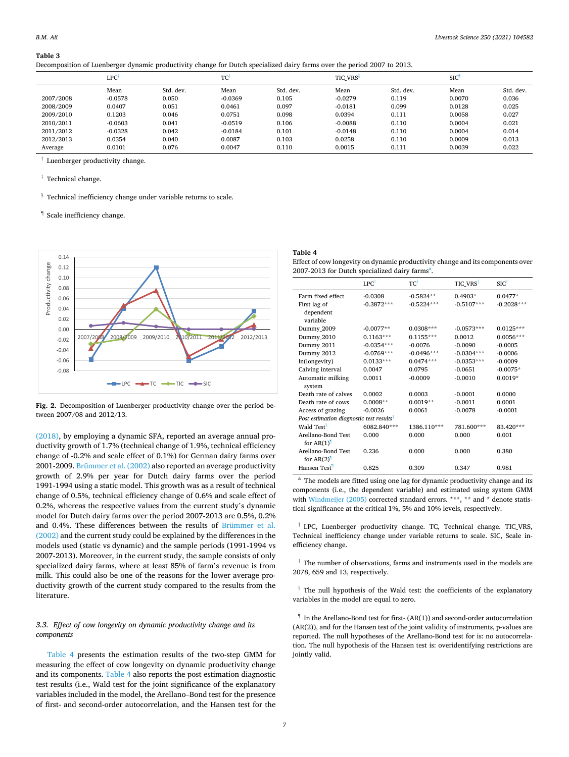<span id="page-6-0"></span>**Table 3** 

|  |  | Decomposition of Luenberger dynamic productivity change for Dutch specialized dairy farms over the period 2007 to 2013. |
|--|--|-------------------------------------------------------------------------------------------------------------------------|
|  |  |                                                                                                                         |

|           | <b>LPC</b> |           | TC        |           | <b>TIC VRS</b> <sup>3</sup> |           | <b>SIC</b> |           |
|-----------|------------|-----------|-----------|-----------|-----------------------------|-----------|------------|-----------|
|           | Mean       | Std. dev. | Mean      | Std. dev. | Mean                        | Std. dev. | Mean       | Std. dev. |
| 2007/2008 | $-0.0578$  | 0.050     | $-0.0369$ | 0.105     | $-0.0279$                   | 0.119     | 0.0070     | 0.036     |
| 2008/2009 | 0.0407     | 0.051     | 0.0461    | 0.097     | $-0.0181$                   | 0.099     | 0.0128     | 0.025     |
| 2009/2010 | 0.1203     | 0.046     | 0.0751    | 0.098     | 0.0394                      | 0.111     | 0.0058     | 0.027     |
| 2010/2011 | $-0.0603$  | 0.041     | $-0.0519$ | 0.106     | $-0.0088$                   | 0.110     | 0.0004     | 0.021     |
| 2011/2012 | $-0.0328$  | 0.042     | $-0.0184$ | 0.101     | $-0.0148$                   | 0.110     | 0.0004     | 0.014     |
| 2012/2013 | 0.0354     | 0.040     | 0.0087    | 0.103     | 0.0258                      | 0.110     | 0.0009     | 0.013     |
| Average   | 0.0101     | 0.076     | 0.0047    | 0.110     | 0.0015                      | 0.111     | 0.0039     | 0.022     |

† Luenberger productivity change.

‡ Technical change.

- $§$  Technical inefficiency change under variable returns to scale.
- ¶ Scale inefficiency change.



**Fig. 2.** Decomposition of Luenberger productivity change over the period between 2007/08 and 2012/13.

[\(2018\),](#page-8-0) by employing a dynamic SFA, reported an average annual productivity growth of 1.7% (technical change of 1.9%, technical efficiency change of -0.2% and scale effect of 0.1%) for German dairy farms over 2001-2009. [Brümmer et al. \(2002\)](#page-8-0) also reported an average productivity growth of 2.9% per year for Dutch dairy farms over the period 1991-1994 using a static model. This growth was as a result of technical change of 0.5%, technical efficiency change of 0.6% and scale effect of 0.2%, whereas the respective values from the current study's dynamic model for Dutch dairy farms over the period 2007-2013 are 0.5%, 0.2% and 0.4%. These differences between the results of [Brümmer et al.](#page-8-0)  [\(2002\)](#page-8-0) and the current study could be explained by the differences in the models used (static vs dynamic) and the sample periods (1991-1994 vs 2007-2013). Moreover, in the current study, the sample consists of only specialized dairy farms, where at least 85% of farm's revenue is from milk. This could also be one of the reasons for the lower average productivity growth of the current study compared to the results from the literature.

## *3.3. Effect of cow longevity on dynamic productivity change and its components*

Table 4 presents the estimation results of the two-step GMM for measuring the effect of cow longevity on dynamic productivity change and its components. Table 4 also reports the post estimation diagnostic test results (i.e., Wald test for the joint significance of the explanatory variables included in the model, the Arellano–Bond test for the presence of first- and second-order autocorrelation, and the Hansen test for the

# **Table 4**

Effect of cow longevity on dynamic productivity change and its components over 2007-2013 for Dutch specialized dairy farms<sup>a</sup>.

|                                                                                  | $LPC^{\dagger}$ | TC           | TIC VRS <sup>†</sup> | SIC          |  |  |  |
|----------------------------------------------------------------------------------|-----------------|--------------|----------------------|--------------|--|--|--|
| Farm fixed effect                                                                | $-0.0308$       | $-0.5824**$  | $0.4903*$            | $0.0477*$    |  |  |  |
| First lag of<br>dependent<br>variable                                            | $-0.3872***$    | $-0.5224***$ | $-0.5107***$         | $-0.2028***$ |  |  |  |
| Dummy 2009                                                                       | $-0.0077**$     | $0.0308***$  | $-0.0573***$         | $0.0125***$  |  |  |  |
| Dummy 2010                                                                       | $0.1163***$     | $0.1155***$  | 0.0012               | $0.0056***$  |  |  |  |
| Dummy_2011                                                                       | $-0.0354***$    | $-0.0076$    | $-0.0090$            | $-0.0005$    |  |  |  |
| Dummy 2012                                                                       | $-0.0769***$    | $-0.0496***$ | $-0.0304***$         | $-0.0006$    |  |  |  |
| ln(longevity)                                                                    | $0.0133***$     | $0.0474***$  | $-0.0353***$         | $-0.0009$    |  |  |  |
| Calving interval                                                                 | 0.0047          | 0.0795       | $-0.0651$            | $-0.0075*$   |  |  |  |
| Automatic milking<br>system                                                      | 0.0011          | $-0.0009$    | $-0.0010$            | $0.0019*$    |  |  |  |
| Death rate of calves                                                             | 0.0002          | 0.0003       | $-0.0001$            | 0.0000       |  |  |  |
| Death rate of cows                                                               | $0.0008**$      | $0.0019**$   | $-0.0011$            | 0.0001       |  |  |  |
| Access of grazing                                                                | $-0.0026$       | 0.0061       | $-0.0078$            | $-0.0001$    |  |  |  |
| Post estimation diagnostic test results <sup>1</sup>                             |                 |              |                      |              |  |  |  |
| Wald Test <sup>§</sup>                                                           | 6082.840***     | 1386.110***  | 781.600***           | 83.420***    |  |  |  |
| Arellano-Bond Test<br>for $AR(1)$ <sup><math>\overline{\phantom{a}}</math></sup> | 0.000           | 0.000        | 0.000                | 0.001        |  |  |  |
| Arellano-Bond Test<br>for $AR(2)$ <sup><math>\overline{\phantom{a}}</math></sup> | 0.236           | 0.000        | 0.000                | 0.380        |  |  |  |
| Hansen Test                                                                      | 0.825           | 0.309        | 0.347                | 0.981        |  |  |  |

<sup>a</sup> The models are fitted using one lag for dynamic productivity change and its components (i.e., the dependent variable) and estimated using system GMM with [Windmeijer \(2005\)](#page-9-0) corrected standard errors. \*\*\*, \*\* and \* denote statistical significance at the critical 1%, 5% and 10% levels, respectively.

† LPC, Luenberger productivity change. TC, Technical change. TIC\_VRS, Technical inefficiency change under variable returns to scale. SIC, Scale inefficiency change.

 $\ddot{\text{ } }$  The number of observations, farms and instruments used in the models are 2078, 659 and 13, respectively.

§ The null hypothesis of the Wald test: the coefficients of the explanatory variables in the model are equal to zero.

 $^\P$  In the Arellano-Bond test for first- (AR(1)) and second-order autocorrelation (AR(2)), and for the Hansen test of the joint validity of instruments, p-values are reported. The null hypotheses of the Arellano-Bond test for is: no autocorrelation. The null hypothesis of the Hansen test is: overidentifying restrictions are jointly valid.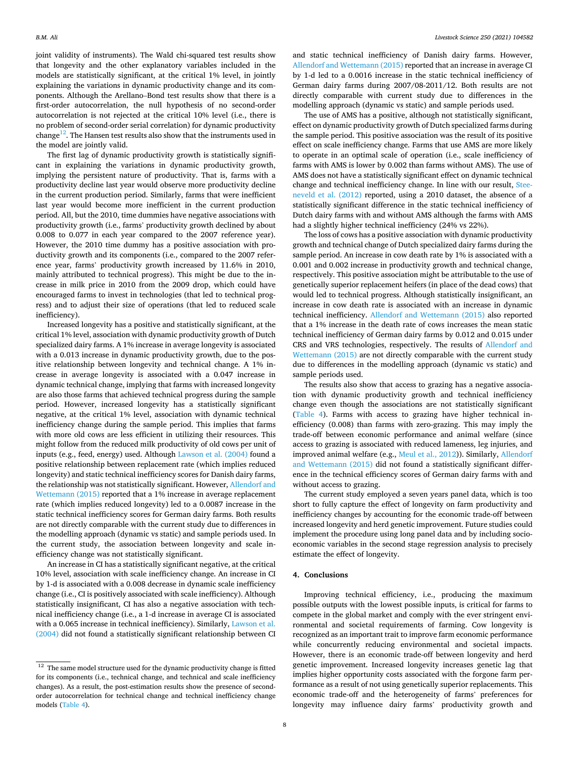joint validity of instruments). The Wald chi-squared test results show that longevity and the other explanatory variables included in the models are statistically significant, at the critical 1% level, in jointly explaining the variations in dynamic productivity change and its components. Although the Arellano–Bond test results show that there is a first-order autocorrelation, the null hypothesis of no second-order autocorrelation is not rejected at the critical 10% level (i.e., there is no problem of second-order serial correlation) for dynamic productivity change<sup>12</sup>. The Hansen test results also show that the instruments used in the model are jointly valid.

The first lag of dynamic productivity growth is statistically significant in explaining the variations in dynamic productivity growth, implying the persistent nature of productivity. That is, farms with a productivity decline last year would observe more productivity decline in the current production period. Similarly, farms that were inefficient last year would become more inefficient in the current production period. All, but the 2010, time dummies have negative associations with productivity growth (i.e., farms' productivity growth declined by about 0.008 to 0.077 in each year compared to the 2007 reference year). However, the 2010 time dummy has a positive association with productivity growth and its components (i.e., compared to the 2007 reference year, farms' productivity growth increased by 11.6% in 2010, mainly attributed to technical progress). This might be due to the increase in milk price in 2010 from the 2009 drop, which could have encouraged farms to invest in technologies (that led to technical progress) and to adjust their size of operations (that led to reduced scale inefficiency).

Increased longevity has a positive and statistically significant, at the critical 1% level, association with dynamic productivity growth of Dutch specialized dairy farms. A 1% increase in average longevity is associated with a 0.013 increase in dynamic productivity growth, due to the positive relationship between longevity and technical change. A 1% increase in average longevity is associated with a 0.047 increase in dynamic technical change, implying that farms with increased longevity are also those farms that achieved technical progress during the sample period. However, increased longevity has a statistically significant negative, at the critical 1% level, association with dynamic technical inefficiency change during the sample period. This implies that farms with more old cows are less efficient in utilizing their resources. This might follow from the reduced milk productivity of old cows per unit of inputs (e.g., feed, energy) used. Although [Lawson et al. \(2004\)](#page-8-0) found a positive relationship between replacement rate (which implies reduced longevity) and static technical inefficiency scores for Danish dairy farms, the relationship was not statistically significant. However, [Allendorf and](#page-8-0)  [Wettemann \(2015\)](#page-8-0) reported that a 1% increase in average replacement rate (which implies reduced longevity) led to a 0.0087 increase in the static technical inefficiency scores for German dairy farms. Both results are not directly comparable with the current study due to differences in the modelling approach (dynamic vs static) and sample periods used. In the current study, the association between longevity and scale inefficiency change was not statistically significant.

An increase in CI has a statistically significant negative, at the critical 10% level, association with scale inefficiency change. An increase in CI by 1-d is associated with a 0.008 decrease in dynamic scale inefficiency change (i.e., CI is positively associated with scale inefficiency). Although statistically insignificant, CI has also a negative association with technical inefficiency change (i.e., a 1-d increase in average CI is associated with a 0.065 increase in technical inefficiency). Similarly, [Lawson et al.](#page-8-0)  [\(2004\)](#page-8-0) did not found a statistically significant relationship between CI

and static technical inefficiency of Danish dairy farms. However, [Allendorf and Wettemann \(2015\)](#page-8-0) reported that an increase in average CI by 1-d led to a 0.0016 increase in the static technical inefficiency of German dairy farms during 2007/08-2011/12. Both results are not directly comparable with current study due to differences in the modelling approach (dynamic vs static) and sample periods used.

The use of AMS has a positive, although not statistically significant, effect on dynamic productivity growth of Dutch specialized farms during the sample period. This positive association was the result of its positive effect on scale inefficiency change. Farms that use AMS are more likely to operate in an optimal scale of operation (i.e., scale inefficiency of farms with AMS is lower by 0.002 than farms without AMS). The use of AMS does not have a statistically significant effect on dynamic technical change and technical inefficiency change. In line with our result, [Stee](#page-8-0)[neveld et al. \(2012\)](#page-8-0) reported, using a 2010 dataset, the absence of a statistically significant difference in the static technical inefficiency of Dutch dairy farms with and without AMS although the farms with AMS had a slightly higher technical inefficiency (24% vs 22%).

The loss of cows has a positive association with dynamic productivity growth and technical change of Dutch specialized dairy farms during the sample period. An increase in cow death rate by 1% is associated with a 0.001 and 0.002 increase in productivity growth and technical change, respectively. This positive association might be attributable to the use of genetically superior replacement heifers (in place of the dead cows) that would led to technical progress. Although statistically insignificant, an increase in cow death rate is associated with an increase in dynamic technical inefficiency. [Allendorf and Wettemann \(2015\)](#page-8-0) also reported that a 1% increase in the death rate of cows increases the mean static technical inefficiency of German dairy farms by 0.012 and 0.015 under CRS and VRS technologies, respectively. The results of [Allendorf and](#page-8-0)  [Wettemann \(2015\)](#page-8-0) are not directly comparable with the current study due to differences in the modelling approach (dynamic vs static) and sample periods used.

The results also show that access to grazing has a negative association with dynamic productivity growth and technical inefficiency change even though the associations are not statistically significant ([Table 4](#page-6-0)). Farms with access to grazing have higher technical inefficiency (0.008) than farms with zero-grazing. This may imply the trade-off between economic performance and animal welfare (since access to grazing is associated with reduced lameness, leg injuries, and improved animal welfare (e.g., [Meul et al., 2012\)](#page-8-0)). Similarly, [Allendorf](#page-8-0)  [and Wettemann \(2015\)](#page-8-0) did not found a statistically significant difference in the technical efficiency scores of German dairy farms with and without access to grazing.

The current study employed a seven years panel data, which is too short to fully capture the effect of longevity on farm productivity and inefficiency changes by accounting for the economic trade-off between increased longevity and herd genetic improvement. Future studies could implement the procedure using long panel data and by including socioeconomic variables in the second stage regression analysis to precisely estimate the effect of longevity.

## **4. Conclusions**

Improving technical efficiency, i.e., producing the maximum possible outputs with the lowest possible inputs, is critical for farms to compete in the global market and comply with the ever stringent environmental and societal requirements of farming. Cow longevity is recognized as an important trait to improve farm economic performance while concurrently reducing environmental and societal impacts. However, there is an economic trade-off between longevity and herd genetic improvement. Increased longevity increases genetic lag that implies higher opportunity costs associated with the forgone farm performance as a result of not using genetically superior replacements. This economic trade-off and the heterogeneity of farms' preferences for longevity may influence dairy farms' productivity growth and

 $12$  The same model structure used for the dynamic productivity change is fitted for its components (i.e., technical change, and technical and scale inefficiency changes). As a result, the post-estimation results show the presence of secondorder autocorrelation for technical change and technical inefficiency change models [\(Table 4](#page-6-0)).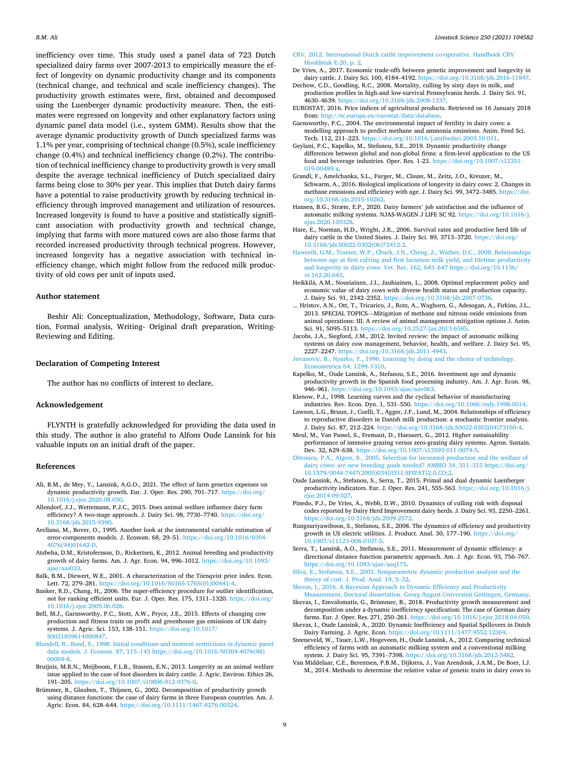<span id="page-8-0"></span>inefficiency over time. This study used a panel data of 723 Dutch specialized dairy farms over 2007-2013 to empirically measure the effect of longevity on dynamic productivity change and its components (technical change, and technical and scale inefficiency changes). The productivity growth estimates were, first, obtained and decomposed using the Luenberger dynamic productivity measure. Then, the estimates were regressed on longevity and other explanatory factors using dynamic panel data model (i.e., system GMM). Results show that the average dynamic productivity growth of Dutch specialized farms was 1.1% per year, comprising of technical change (0.5%), scale inefficiency change (0.4%) and technical inefficiency change (0.2%). The contribution of technical inefficiency change to productivity growth is very small despite the average technical inefficiency of Dutch specialized dairy farms being close to 30% per year. This implies that Dutch dairy farms have a potential to raise productivity growth by reducing technical inefficiency through improved management and utilization of resources. Increased longevity is found to have a positive and statistically significant association with productivity growth and technical change, implying that farms with more matured cows are also those farms that recorded increased productivity through technical progress. However, increased longevity has a negative association with technical inefficiency change, which might follow from the reduced milk productivity of old cows per unit of inputs used.

#### **Author statement**

Beshir Ali: Conceptualization, Methodology, Software, Data curation, Formal analysis, Writing- Original draft preparation, Writing-Reviewing and Editing.

## **Declaration of Competing Interest**

The author has no conflicts of interest to declare.

## **Acknowledgement**

FLYNTH is gratefully acknowledged for providing the data used in this study. The author is also grateful to Alfons Oude Lansink for his valuable inputs on an initial draft of the paper.

#### **References**

- Ali, B.M., de Mey, Y., Lansink, A.G.O., 2021. The effect of farm genetics expenses on dynamic productivity growth. Eur. J. Oper. Res. 290, 701–717. [https://doi.org/](https://doi.org/10.1016/j.ejor.2020.08.030)  [10.1016/j.ejor.2020.08.030](https://doi.org/10.1016/j.ejor.2020.08.030).
- Allendorf, J.J., Wettemann, P.J.C., 2015. Does animal welfare influence dairy farm efficiency? A two-stage approach. J. Dairy Sci. 98, 7730-7740. https://doi.org/ [10.3168/jds.2015-9390.](https://doi.org/10.3168/jds.2015-9390)
- Arellano, M., Bover, O., 1995. Another look at the instrumental variable estimation of error-components models. J. Econom. 68, 29–51. [https://doi.org/10.1016/0304-](https://doi.org/10.1016/0304-4076(94)01642-D)  [4076\(94\)01642-D](https://doi.org/10.1016/0304-4076(94)01642-D).
- Atsbeha, D.M., Kristofersson, D., Rickertsen, K., 2012. Animal breeding and productivity growth of dairy farms. Am. J. Agr. Econ. 94, 996–1012. [https://doi.org/10.1093/](https://doi.org/10.1093/ajae/aas033) iae/aas033.
- Balk, B.M., Diewert, W.E., 2001. A characterization of the Törnqvist price index. Econ. Lett. 72, 279–281. [https://doi.org/10.1016/S0165-1765\(01\)00441-4](https://doi.org/10.1016/S0165-1765(01)00441-4).
- Banker, R.D., Chang, H., 2006. The super-efficiency procedure for outlier identification, not for ranking efficient units. Eur. J. Oper. Res. 175, 1311–1320. [https://doi.org/](https://doi.org/10.1016/j.ejor.2005.06.028)  [10.1016/j.ejor.2005.06.028](https://doi.org/10.1016/j.ejor.2005.06.028).
- Bell, M.J., Garnsworthy, P.C., Stott, A.W., Pryce, J.E., 2015. Effects of changing cow production and fitness traits on profit and greenhouse gas emissions of UK dairy systems. J. Agric. Sci. 153, 138–151. [https://doi.org/10.1017/](https://doi.org/10.1017/S0021859614000847) [S0021859614000847](https://doi.org/10.1017/S0021859614000847).
- [Blundell, R., Bond, S., 1998. Initial conditions and moment restrictions in dynamic panel](http://refhub.elsevier.com/S1871-1413(21)00190-6/sbref0008)  data models. J. Econom. 87, 115–[143 https://doi.org/10.1016/S0304-4076\(98\)](http://refhub.elsevier.com/S1871-1413(21)00190-6/sbref0008) [00009-8](http://refhub.elsevier.com/S1871-1413(21)00190-6/sbref0008).
- Bruijnis, M.R.N., Meijboom, F.L.B., Stassen, E.N., 2013. Longevity as an animal welfare issue applied to the case of foot disorders in dairy cattle. J. Agric. Environ. Ethics 26, 191–205. <https://doi.org/10.1007/s10806-012-9376-0>.
- Brümmer, B., Glauben, T., Thijssen, G., 2002. Decomposition of productivity growth using distance functions: the case of dairy farms in three European countries. Am. J. Agric. Econ. 84, 628–644. <https://doi.org/10.1111/1467-8276.00324>.

[CRV, 2012. International Dutch cattle improvement co-operative. Handboek CRV](http://refhub.elsevier.com/S1871-1413(21)00190-6/sbref0011)  [Hoofdstuk E-20, p. 2.](http://refhub.elsevier.com/S1871-1413(21)00190-6/sbref0011)

- De Vries, A., 2017. Economic trade-offs between genetic improvement and longevity in dairy cattle. J. Dairy Sci. 100, 4184–4192. [https://doi.org/10.3168/jds.2016-11847.](https://doi.org/10.3168/jds.2016-11847)
- Dechow, C.D., Goodling, R.C., 2008. Mortality, culling by sixty days in milk, and production profiles in high-and low-survival Pennsylvania herds. J. Dairy Sci. 91, 4630–4639. [https://doi.org/10.3168/jds.2008-1337.](https://doi.org/10.3168/jds.2008-1337)
- EUROSTAT, 2016. Price indices of agricultural products. Retrieved on 16 January 2018 from: http://ec.europa.eu/eurostat/data/databas
- Garnsworthy, P.C., 2004. The environmental impact of fertility in dairy cows: a modelling approach to predict methane and ammonia emissions. Anim. Feed Sci. Tech. 112, 211–223. [https://doi.org/10.1016/j.anifeedsci.2003.10.011.](https://doi.org/10.1016/j.anifeedsci.2003.10.011)
- Geylani, P.C., Kapelko, M., Stefanou, S.E., 2019. Dynamic productivity change differences between global and non-global firms: a firm-level application to the US food and beverage industries. Oper. Res. 1-23. [https://doi.org/10.1007/s12351-](https://doi.org/10.1007/s12351-019-00489-x) 019-00489-x
- Grandl, F., Amelchanka, S.L., Furger, M., Clauss, M., Zeitz, J.O., Kreuzer, M., Schwarm, A., 2016. Biological implications of longevity in dairy cows: 2. Changes in methane emissions and efficiency with age. J. Dairy Sci. 99, 3472–3485. [https://doi.](https://doi.org/10.3168/jds.2015-10262)  [org/10.3168/jds.2015-10262.](https://doi.org/10.3168/jds.2015-10262)
- Hansen, B.G., Stræte, E.P., 2020. Dairy farmers' job satisfaction and the influence of automatic milking systems. NJAS-WAGEN J LIFE SC 92. [https://doi.org/10.1016/j.](https://doi.org/10.1016/j.njas.2020.100328)  [njas.2020.100328](https://doi.org/10.1016/j.njas.2020.100328).
- Hare, E., Norman, H.D., Wright, J.R., 2006. Survival rates and productive herd life of dairy cattle in the United States. J. Dairy Sci. 89, 3713-3720. [https://doi.org/](https://doi.org/10.3168/jds.S0022-0302(06)72412-2) [10.3168/jds.S0022-0302\(06\)72412-2](https://doi.org/10.3168/jds.S0022-0302(06)72412-2).
- [Haworth, G.M., Tranter, W.P., Chuck, J.N., Cheng, Z., Wathes, D.C., 2008. Relationships](http://refhub.elsevier.com/S1871-1413(21)00190-6/sbref0020)  [between age at first calving and first lactation milk yield, and lifetime productivity](http://refhub.elsevier.com/S1871-1413(21)00190-6/sbref0020)  [and longevity in dairy cows. Vet. Rec. 162, 643](http://refhub.elsevier.com/S1871-1413(21)00190-6/sbref0020)–647 https://doi.org/10.1136/ [vr.162.20.643](http://refhub.elsevier.com/S1871-1413(21)00190-6/sbref0020).
- Heikkilä, A.M., Nousiainen, J.I., Jauhiainen, L., 2008. Optimal replacement policy and economic value of dairy cows with diverse health status and production capacity. J. Dairy Sci. 91, 2342–2352. [https://doi.org/10.3168/jds.2007-0736.](https://doi.org/10.3168/jds.2007-0736)
- ... Hristov, A.N., Ott, T., Tricarico, J., Rotz, A., Waghorn, G., Adesogan, A., Firkins, J.L., 2013. SPECIAL TOPICS—Mitigation of methane and nitrous oxide emissions from animal operations: III. A review of animal management mitigation options J. Anim. Sci. 91, 5095–5113. [https://doi.org/10.2527/jas.2013-6585.](https://doi.org/10.2527/jas.2013-6585)
- Jacobs, J.A., Siegford, J.M., 2012. Invited review: the impact of automatic milking systems on dairy cow management, behavior, health, and welfare. J. Dairy Sci. 95, 2227–2247. [https://doi.org/10.3168/jds.2011-4943.](https://doi.org/10.3168/jds.2011-4943)
- [Jovanovic, B., Nyarko, Y., 1996. Learning by doing and the choice of technology.](http://refhub.elsevier.com/S1871-1413(21)00190-6/sbref0024) [Econometrica 64, 1299](http://refhub.elsevier.com/S1871-1413(21)00190-6/sbref0024)–1310.
- Kapelko, M., Oude Lansink, A., Stefanou, S.E., 2016. Investment age and dynamic productivity growth in the Spanish food processing industry. Am. J. Agr. Econ. 98, 946–961. <https://doi.org/10.1093/ajae/aav063>.
- Klenow, P.J., 1998. Learning curves and the cyclical behavior of manufacturing industries. Rev. Econ. Dyn. 1, 531–550. <https://doi.org/10.1006/redy.1998.0014>.
- Lawson, L.G., Bruun, J., Coelli, T., Agger, J.F., Lund, M., 2004. Relationships of efficiency to reproductive disorders in Danish milk production: a stochastic frontier analysis. J. Dairy Sci. 87, 212–224. [https://doi.org/10.3168/jds.S0022-0302\(04\)73160-4](https://doi.org/10.3168/jds.S0022-0302(04)73160-4).
- Meul, M., Van Passel, S., Fremaut, D., Haesaert, G., 2012. Higher sustainability performance of intensive grazing versus zero-grazing dairy systems. Agron. Sustain. Dev. 32, 629–638. <https://doi.org/10.1007/s13593-011-0074-5>.
- [Oltenacu, P.A., Algers, B., 2005. Selection for increased production and the welfare of](http://refhub.elsevier.com/S1871-1413(21)00190-6/sbref0029)  [dairy cows: are new breeding goals needed? AMBIO 34, 311](http://refhub.elsevier.com/S1871-1413(21)00190-6/sbref0029)–315 https://doi.org/ [10.1579/0044-7447\(2005\)034\[0311:SFIPAT\]2.0.CO;2.](http://refhub.elsevier.com/S1871-1413(21)00190-6/sbref0029)
- Oude Lansink, A., Stefanou, S., Serra, T., 2015. Primal and dual dynamic Luenberger productivity indicators. Eur. J. Oper. Res. 241, 555–563. [https://doi.org/10.1016/j.](https://doi.org/10.1016/j.ejor.2014.09.027)  [ejor.2014.09.027](https://doi.org/10.1016/j.ejor.2014.09.027).
- Pinedo, P.J., De Vries, A., Webb, D.W., 2010. Dynamics of culling risk with disposal codes reported by Dairy Herd Improvement dairy herds. J. Dairy Sci. 93, 2250–2261. [https://doi.org/10.3168/jds.2009-2572.](https://doi.org/10.3168/jds.2009-2572)
- Rungsuriyawiboon, S., Stefanou, S.E., 2008. The dynamics of efficiency and productivity growth in US electric utilities. J. Product. Anal. 30, 177-190. https://doi.org. [10.1007/s11123-008-0107-5](https://doi.org/10.1007/s11123-008-0107-5).
- Serra, T., Lansink, A.O., Stefanou, S.E., 2011. Measurement of dynamic efficiency: a directional distance function parametric approach. Am. J. Agr. Econ. 93, 756–767. [https://doi.org/10.1093/ajae/aaq175.](https://doi.org/10.1093/ajae/aaq175)
- [Silva, E., Stefanou, S.E., 2003. Nonparametric dynamic production analysis and the](http://refhub.elsevier.com/S1871-1413(21)00190-6/sbref0034)  [theory of cost. J. Prod. Anal. 19, 5](http://refhub.elsevier.com/S1871-1413(21)00190-6/sbref0034)–32.
- [Skevas, I., 2016. A Bayesian Approach to Dynamic Efficiency and Productivity](http://refhub.elsevier.com/S1871-1413(21)00190-6/sbref0035)  [Measurement. Doctoral dissertation. Georg-August-Universit](http://refhub.elsevier.com/S1871-1413(21)00190-6/sbref0035)ät Göttingen, Germany.
- Skevas, I., Emvalomatis, G., Brümmer, B., 2018. Productivity growth measurement and decomposition under a dynamic inefficiency specification: The case of German dairy farms. Eur. J. Oper. Res. 271, 250–261. [https://doi.org/10.1016/j.ejor.2018.04.050.](https://doi.org/10.1016/j.ejor.2018.04.050)
- Skevas, I., Oude Lansink, A., 2020. Dynamic Inefficiency and Spatial Spillovers in Dutch Dairy Farming. J. Agric. Econ. [https://doi.org/10.1111/1477-9552.12369.](https://doi.org/10.1111/1477-9552.12369)
- Steeneveld, W., Tauer, L.W., Hogeveen, H., Oude Lansink, A., 2012. Comparing technical efficiency of farms with an automatic milking system and a conventional milking system. J. Dairy Sci. 95, 7391–7398. [https://doi.org/10.3168/jds.2012-5482.](https://doi.org/10.3168/jds.2012-5482)
- Van Middelaar, C.E., Berentsen, P.B.M., Dijkstra, J., Van Arendonk, J.A.M., De Boer, I.J. M., 2014. Methods to determine the relative value of genetic traits in dairy cows to